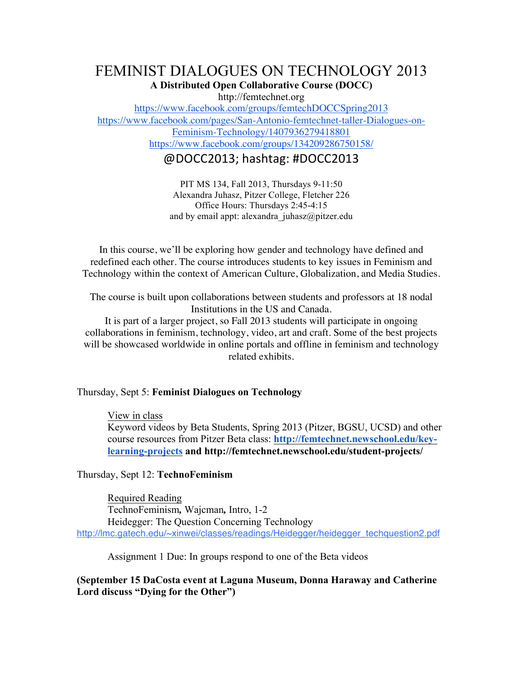## FEMINIST DIALOGUES ON TECHNOLOGY 2013 **A Distributed Open Collaborative Course (DOCC)**

http://femtechnet.org

https://www.facebook.com/groups/femtechDOCCSpring2013 https://www.facebook.com/pages/San-Antonio-femtechnet-taller-Dialogues-on-Feminism-Technology/1407936279418801 https://www.facebook.com/groups/134209286750158/

@DOCC2013; hashtag: #DOCC2013

PIT MS 134, Fall 2013, Thursdays 9-11:50 Alexandra Juhasz, Pitzer College, Fletcher 226 Office Hours: Thursdays 2:45-4:15 and by email appt: alexandra  $juhasz@pitzer.edu$ 

In this course, we'll be exploring how gender and technology have defined and redefined each other. The course introduces students to key issues in Feminism and Technology within the context of American Culture, Globalization, and Media Studies.

The course is built upon collaborations between students and professors at 18 nodal Institutions in the US and Canada.

It is part of a larger project, so Fall 2013 students will participate in ongoing collaborations in feminism, technology, video, art and craft. Some of the best projects will be showcased worldwide in online portals and offline in feminism and technology related exhibits.

Thursday, Sept 5: **Feminist Dialogues on Technology**

### View in class

Keyword videos by Beta Students, Spring 2013 (Pitzer, BGSU, UCSD) and other course resources from Pitzer Beta class: **http://femtechnet.newschool.edu/keylearning-projects and http://femtechnet.newschool.edu/student-projects/**

Thursday, Sept 12: **TechnoFeminism** 

Required Reading TechnoFeminism*,* Wajcman*,* Intro, 1-2 Heidegger: The Question Concerning Technology http://lmc.gatech.edu/~xinwei/classes/readings/Heidegger/heidegger\_techquestion2.pdf

Assignment 1 Due: In groups respond to one of the Beta videos

**(September 15 DaCosta event at Laguna Museum, Donna Haraway and Catherine Lord discuss "Dying for the Other")**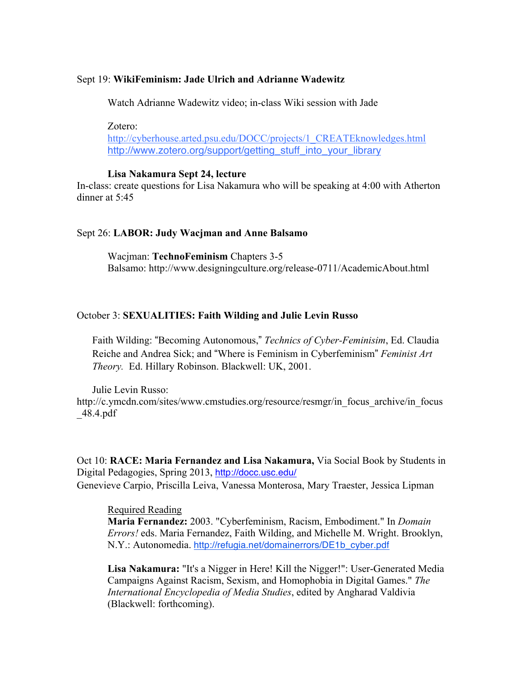#### Sept 19: **WikiFeminism: Jade Ulrich and Adrianne Wadewitz**

Watch Adrianne Wadewitz video; in-class Wiki session with Jade

Zotero: http://cyberhouse.arted.psu.edu/DOCC/projects/1\_CREATEknowledges.html http://www.zotero.org/support/getting\_stuff\_into\_your\_library

#### **Lisa Nakamura Sept 24, lecture**

In-class: create questions for Lisa Nakamura who will be speaking at 4:00 with Atherton dinner at 5:45

#### Sept 26: **LABOR: Judy Wacjman and Anne Balsamo**

Wacjman: **TechnoFeminism** Chapters 3-5 Balsamo: http://www.designingculture.org/release-0711/AcademicAbout.html

#### October 3: **SEXUALITIES: Faith Wilding and Julie Levin Russo**

Faith Wilding: "Becoming Autonomous," *Technics of Cyber-Feminisim*, Ed. Claudia Reiche and Andrea Sick; and "Where is Feminism in Cyberfeminism" *Feminist Art Theory.* Ed. Hillary Robinson. Blackwell: UK, 2001.

Julie Levin Russo: http://c.ymcdn.com/sites/www.cmstudies.org/resource/resmgr/in\_focus\_archive/in\_focus \_48.4.pdf

Oct 10: **RACE: Maria Fernandez and Lisa Nakamura,** Via Social Book by Students in Digital Pedagogies, Spring 2013, http://docc.usc.edu/ Genevieve Carpio, Priscilla Leiva, Vanessa Monterosa, Mary Traester, Jessica Lipman

Required Reading

**Maria Fernandez:** 2003. "Cyberfeminism, Racism, Embodiment." In *Domain Errors!* eds. Maria Fernandez, Faith Wilding, and Michelle M. Wright. Brooklyn, N.Y.: Autonomedia. http://refugia.net/domainerrors/DE1b\_cyber.pdf

**Lisa Nakamura:** "It's a Nigger in Here! Kill the Nigger!": User-Generated Media Campaigns Against Racism, Sexism, and Homophobia in Digital Games." *The International Encyclopedia of Media Studies*, edited by Angharad Valdivia (Blackwell: forthcoming).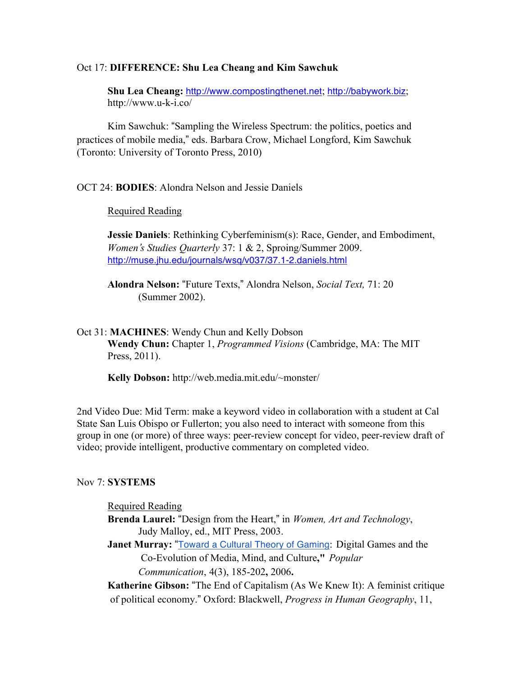#### Oct 17: **DIFFERENCE: Shu Lea Cheang and Kim Sawchuk**

**Shu Lea Cheang:** http://www.compostingthenet.net; http://babywork.biz; http://www.u-k-i.co/

Kim Sawchuk: "Sampling the Wireless Spectrum: the politics, poetics and practices of mobile media," eds. Barbara Crow, Michael Longford, Kim Sawchuk (Toronto: University of Toronto Press, 2010)

### OCT 24: **BODIES**: Alondra Nelson and Jessie Daniels

#### Required Reading

**Jessie Daniels**: Rethinking Cyberfeminism(s): Race, Gender, and Embodiment, *Women*'*s Studies Quarterly* 37: 1 & 2, Sproing/Summer 2009. http://muse.jhu.edu/journals/wsq/v037/37.1-2.daniels.html

**Alondra Nelson:** "Future Texts," Alondra Nelson, *Social Text,* 71: 20 (Summer 2002).

### Oct 31: **MACHINES**: Wendy Chun and Kelly Dobson **Wendy Chun:** Chapter 1, *Programmed Visions* (Cambridge, MA: The MIT Press, 2011).

**Kelly Dobson:** http://web.media.mit.edu/~monster/

2nd Video Due: Mid Term: make a keyword video in collaboration with a student at Cal State San Luis Obispo or Fullerton; you also need to interact with someone from this group in one (or more) of three ways: peer-review concept for video, peer-review draft of video; provide intelligent, productive commentary on completed video.

#### Nov 7: **SYSTEMS**

#### Required Reading

- **Brenda Laurel:** "Design from the Heart," in *Women, Art and Technology*, Judy Malloy, ed., MIT Press, 2003.
- **Janet Murray: "Toward a Cultural Theory of Gaming: Digital Games and the** Co-Evolution of Media, Mind, and Culture**,"** *Popular Communication*, 4(3), 185-202**,** 2006**.**

**Katherine Gibson:** "The End of Capitalism (As We Knew It): A feminist critique of political economy." Oxford: Blackwell, *Progress in Human Geography*, 11,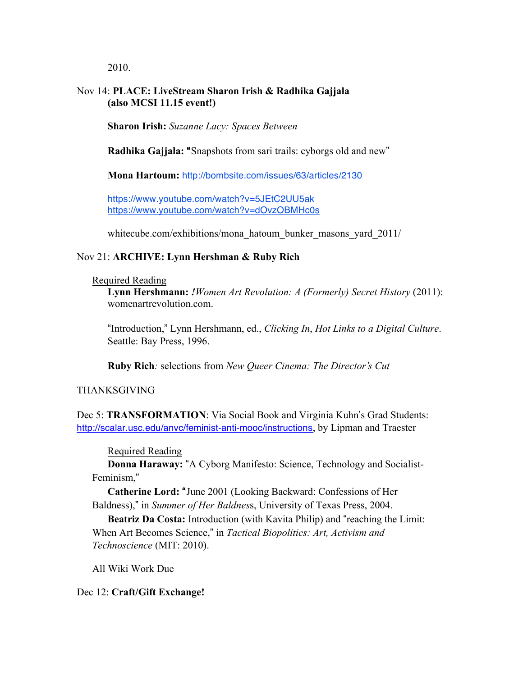2010.

## Nov 14: **PLACE: LiveStream Sharon Irish & Radhika Gajjala (also MCSI 11.15 event!)**

**Sharon Irish:** *Suzanne Lacy: Spaces Between*

**Radhika Gajjala:** "Snapshots from sari trails: cyborgs old and new"

**Mona Hartoum:** http://bombsite.com/issues/63/articles/2130

https://www.youtube.com/watch?v=5JEtC2UU5ak https://www.youtube.com/watch?v=dOvzOBMHc0s

whitecube.com/exhibitions/mona\_hatoum\_bunker\_masons\_yard\_2011/

## Nov 21: **ARCHIVE: Lynn Hershman & Ruby Rich**

#### Required Reading

**Lynn Hershmann:** *!Women Art Revolution: A (Formerly) Secret History* (2011): womenartrevolution.com.

"Introduction," Lynn Hershmann, ed., *Clicking In*, *Hot Links to a Digital Culture*. Seattle: Bay Press, 1996.

**Ruby Rich***:* selections from *New Queer Cinema: The Director*'*s Cut*

## THANKSGIVING

Dec 5: **TRANSFORMATION**: Via Social Book and Virginia Kuhn's Grad Students: http://scalar.usc.edu/anvc/feminist-anti-mooc/instructions, by Lipman and Traester

Required Reading

**Donna Haraway:** "A Cyborg Manifesto: Science, Technology and Socialist-Feminism,"

**Catherine Lord:** "June 2001 (Looking Backward: Confessions of Her Baldness)," in *Summer of Her Baldnes*s, University of Texas Press, 2004.

**Beatriz Da Costa:** Introduction (with Kavita Philip) and "reaching the Limit: When Art Becomes Science," in *Tactical Biopolitics: Art, Activism and Technoscience* (MIT: 2010).

All Wiki Work Due

## Dec 12: **Craft/Gift Exchange!**